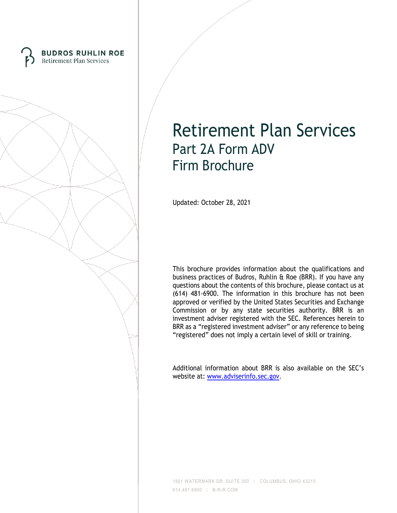



Updated: October 28, 2021

This brochure provides information about the qualifications and business practices of Budros, Ruhlin & Roe (BRR). If you have any questions about the contents of this brochure, please contact us at (614) 481-6900. The information in this brochure has not been approved or verified by the United States Securities and Exchange Commission or by any state securities authority. BRR is an investment adviser registered with the SEC. References herein to BRR as a "registered investment adviser" or any reference to being "registered" does not imply a certain level of skill or training.

Additional information about BRR is also available on the SEC's website at: [www.adviserinfo.sec.gov.](http://www.adviserinfo.sec.gov/)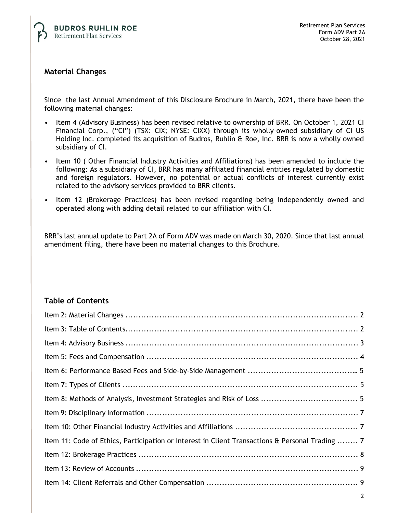

# **Material Changes**

Since the last Annual Amendment of this Disclosure Brochure in March, 2021, there have been the following material changes:

- Item 4 (Advisory Business) has been revised relative to ownership of BRR. On October 1, 2021 CI Financial Corp., ("CI") (TSX: CIX; NYSE: CIXX) through its wholly-owned subsidiary of CI US Holding Inc. completed its acquisition of Budros, Ruhlin & Roe, Inc. BRR is now a wholly owned subsidiary of CI.
- Item 10 ( Other Financial Industry Activities and Affiliations) has been amended to include the following: As a subsidiary of CI, BRR has many affiliated financial entities regulated by domestic and foreign regulators. However, no potential or actual conflicts of interest currently exist related to the advisory services provided to BRR clients.
- Item 12 (Brokerage Practices) has been revised regarding being independently owned and operated along with adding detail related to our affiliation with CI.

BRR's last annual update to Part 2A of Form ADV was made on March 30, 2020. Since that last annual amendment filing, there have been no material changes to this Brochure.

# **Table of Contents**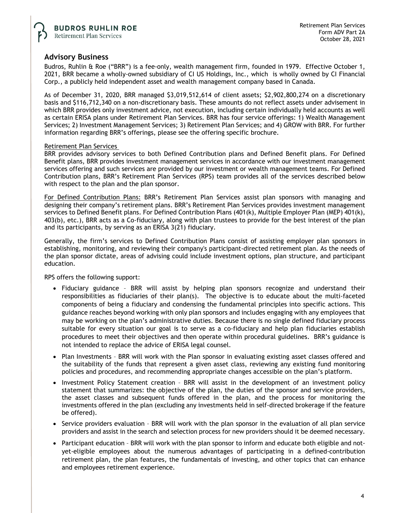## **Advisory Business**

Budros, Ruhlin & Roe ("BRR") is a fee-only, wealth management firm, founded in 1979. Effective October 1, 2021, BRR became a wholly-owned subsidiary of CI US Holdings, Inc., which is wholly owned by CI Financial Corp., a publicly held independent asset and wealth management company based in Canada.

As of December 31, 2020, BRR managed \$3,019,512,614 of client assets; \$2,902,800,274 on a discretionary basis and \$116,712,340 on a non-discretionary basis. These amounts do not reflect assets under advisement in which BRR provides only investment advice, not execution, including certain individually held accounts as well as certain ERISA plans under Retirement Plan Services. BRR has four service offerings: 1) Wealth Management Services; 2) Investment Management Services; 3) Retirement Plan Services; and 4) GROW with BRR. For further information regarding BRR's offerings, please see the offering specific brochure.

#### Retirement Plan Services

BRR provides advisory services to both Defined Contribution plans and Defined Benefit plans. For Defined Benefit plans, BRR provides investment management services in accordance with our investment management services offering and such services are provided by our investment or wealth management teams. For Defined Contribution plans, BRR's Retirement Plan Services (RPS) team provides all of the services described below with respect to the plan and the plan sponsor.

For Defined Contribution Plans: BRR's Retirement Plan Services assist plan sponsors with managing and designing their company's retirement plans. BRR's Retirement Plan Services provides investment management services to Defined Benefit plans. For Defined Contribution Plans (401(k), Multiple Employer Plan (MEP) 401(k), 403(b), etc.), BRR acts as a Co-fiduciary, along with plan trustees to provide for the best interest of the plan and its participants, by serving as an ERISA 3(21) fiduciary.

Generally, the firm's services to Defined Contribution Plans consist of assisting employer plan sponsors in establishing, monitoring, and reviewing their company's participant-directed retirement plan. As the needs of the plan sponsor dictate, areas of advising could include investment options, plan structure, and participant education.

RPS offers the following support:

- Fiduciary guidance BRR will assist by helping plan sponsors recognize and understand their responsibilities as fiduciaries of their plan(s). The objective is to educate about the multi-faceted components of being a fiduciary and condensing the fundamental principles into specific actions. This guidance reaches beyond working with only plan sponsors and includes engaging with any employees that may be working on the plan's administrative duties. Because there is no single defined fiduciary process suitable for every situation our goal is to serve as a co-fiduciary and help plan fiduciaries establish procedures to meet their objectives and then operate within procedural guidelines. BRR's guidance is not intended to replace the advice of ERISA legal counsel.
- Plan Investments BRR will work with the Plan sponsor in evaluating existing asset classes offered and the suitability of the funds that represent a given asset class, reviewing any existing fund monitoring policies and procedures, and recommending appropriate changes accessible on the plan's platform.
- Investment Policy Statement creation BRR will assist in the development of an investment policy statement that summarizes: the objective of the plan, the duties of the sponsor and service providers, the asset classes and subsequent funds offered in the plan, and the process for monitoring the investments offered in the plan (excluding any investments held in self-directed brokerage if the feature be offered).
- Service providers evaluation BRR will work with the plan sponsor in the evaluation of all plan service providers and assist in the search and selection process for new providers should it be deemed necessary.
- Participant education BRR will work with the plan sponsor to inform and educate both eligible and notyet-eligible employees about the numerous advantages of participating in a defined-contribution retirement plan, the plan features, the fundamentals of investing, and other topics that can enhance and employees retirement experience.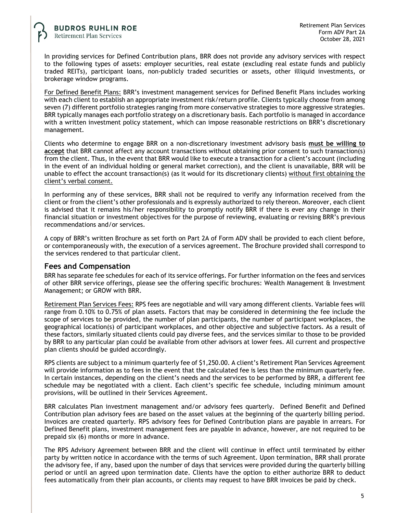In providing services for Defined Contribution plans, BRR does not provide any advisory services with respect to the following types of assets: employer securities, real estate (excluding real estate funds and publicly traded REITs), participant loans, non-publicly traded securities or assets, other illiquid investments, or brokerage window programs.

For Defined Benefit Plans: BRR's investment management services for Defined Benefit Plans includes working with each client to establish an appropriate investment risk/return profile. Clients typically choose from among seven (7) different portfolio strategies ranging from more conservative strategies to more aggressive strategies. BRR typically manages each portfolio strategy on a discretionary basis. Each portfolio is managed in accordance with a written investment policy statement, which can impose reasonable restrictions on BRR's discretionary management.

Clients who determine to engage BRR on a non-discretionary investment advisory basis **must be willing to accept** that BRR cannot affect any account transactions without obtaining prior consent to such transaction(s) from the client. Thus, in the event that BRR would like to execute a transaction for a client's account (including in the event of an individual holding or general market correction), and the client is unavailable, BRR will be unable to effect the account transaction(s) (as it would for its discretionary clients) without first obtaining the client's verbal consent.

In performing any of these services, BRR shall not be required to verify any information received from the client or from the client's other professionals and is expressly authorized to rely thereon. Moreover, each client is advised that it remains his/her responsibility to promptly notify BRR if there is ever any change in their financial situation or investment objectives for the purpose of reviewing, evaluating or revising BRR's previous recommendations and/or services.

A copy of BRR's written Brochure as set forth on Part 2A of Form ADV shall be provided to each client before, or contemporaneously with, the execution of a services agreement. The Brochure provided shall correspond to the services rendered to that particular client.

#### **Fees and Compensation**

BRR has separate fee schedules for each of its service offerings. For further information on the fees and services of other BRR service offerings, please see the offering specific brochures: Wealth Management & Investment Management; or GROW with BRR.

Retirement Plan Services Fees: RPS fees are negotiable and will vary among different clients. Variable fees will range from 0.10% to 0.75% of plan assets. Factors that may be considered in determining the fee include the scope of services to be provided, the number of plan participants, the number of participant workplaces, the geographical location(s) of participant workplaces, and other objective and subjective factors. As a result of these factors, similarly situated clients could pay diverse fees, and the services similar to those to be provided by BRR to any particular plan could be available from other advisors at lower fees. All current and prospective plan clients should be guided accordingly.

RPS clients are subject to a minimum quarterly fee of \$1,250.00. A client's Retirement Plan Services Agreement will provide information as to fees in the event that the calculated fee is less than the minimum quarterly fee. In certain instances, depending on the client's needs and the services to be performed by BRR, a different fee schedule may be negotiated with a client. Each client's specific fee schedule, including minimum amount provisions, will be outlined in their Services Agreement.

BRR calculates Plan investment management and/or advisory fees quarterly. Defined Benefit and Defined Contribution plan advisory fees are based on the asset values at the beginning of the quarterly billing period. Invoices are created quarterly. RPS advisory fees for Defined Contribution plans are payable in arrears. For Defined Benefit plans, investment management fees are payable in advance, however, are not required to be prepaid six (6) months or more in advance.

The RPS Advisory Agreement between BRR and the client will continue in effect until terminated by either party by written notice in accordance with the terms of such Agreement. Upon termination, BRR shall prorate the advisory fee, if any, based upon the number of days that services were provided during the quarterly billing period or until an agreed upon termination date. Clients have the option to either authorize BRR to deduct fees automatically from their plan accounts, or clients may request to have BRR invoices be paid by check.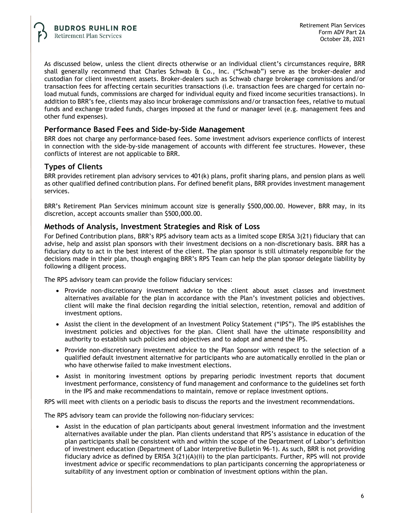As discussed below, unless the client directs otherwise or an individual client's circumstances require, BRR shall generally recommend that Charles Schwab & Co., Inc. ("Schwab") serve as the broker-dealer and custodian for client investment assets. Broker-dealers such as Schwab charge brokerage commissions and/or transaction fees for affecting certain securities transactions (i.e. transaction fees are charged for certain noload mutual funds, commissions are charged for individual equity and fixed income securities transactions). In addition to BRR's fee, clients may also incur brokerage commissions and/or transaction fees, relative to mutual funds and exchange traded funds, charges imposed at the fund or manager level (e.g. management fees and other fund expenses).

### **Performance Based Fees and Side-by-Side Management**

BRR does not charge any performance-based fees. Some investment advisors experience conflicts of interest in connection with the side-by-side management of accounts with different fee structures. However, these conflicts of interest are not applicable to BRR.

# **Types of Clients**

BRR provides retirement plan advisory services to 401(k) plans, profit sharing plans, and pension plans as well as other qualified defined contribution plans. For defined benefit plans, BRR provides investment management services.

BRR's Retirement Plan Services minimum account size is generally \$500,000.00. However, BRR may, in its discretion, accept accounts smaller than \$500,000.00.

### **Methods of Analysis, Investment Strategies and Risk of Loss**

For Defined Contribution plans, BRR's RPS advisory team acts as a limited scope ERISA 3(21) fiduciary that can advise, help and assist plan sponsors with their investment decisions on a non-discretionary basis. BRR has a fiduciary duty to act in the best interest of the client. The plan sponsor is still ultimately responsible for the decisions made in their plan, though engaging BRR's RPS Team can help the plan sponsor delegate liability by following a diligent process.

The RPS advisory team can provide the follow fiduciary services:

- Provide non-discretionary investment advice to the client about asset classes and investment alternatives available for the plan in accordance with the Plan's investment policies and objectives. client will make the final decision regarding the initial selection, retention, removal and addition of investment options.
- Assist the client in the development of an Investment Policy Statement ("IPS"). The IPS establishes the investment policies and objectives for the plan. Client shall have the ultimate responsibility and authority to establish such policies and objectives and to adopt and amend the IPS.
- Provide non-discretionary investment advice to the Plan Sponsor with respect to the selection of a qualified default investment alternative for participants who are automatically enrolled in the plan or who have otherwise failed to make investment elections.
- Assist in monitoring investment options by preparing periodic investment reports that document investment performance, consistency of fund management and conformance to the guidelines set forth in the IPS and make recommendations to maintain, remove or replace investment options.

RPS will meet with clients on a periodic basis to discuss the reports and the investment recommendations.

The RPS advisory team can provide the following non-fiduciary services:

• Assist in the education of plan participants about general investment information and the investment alternatives available under the plan. Plan clients understand that RPS's assistance in education of the plan participants shall be consistent with and within the scope of the Department of Labor's definition of investment education (Department of Labor Interpretive Bulletin 96-1). As such, BRR is not providing fiduciary advice as defined by ERISA 3(21)(A)(ii) to the plan participants. Further, RPS will not provide investment advice or specific recommendations to plan participants concerning the appropriateness or suitability of any investment option or combination of investment options within the plan.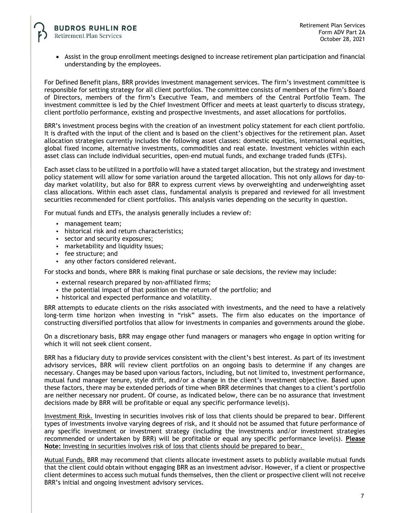• Assist in the group enrollment meetings designed to increase retirement plan participation and financial understanding by the employees.

For Defined Benefit plans, BRR provides investment management services. The firm's investment committee is responsible for setting strategy for all client portfolios. The committee consists of members of the firm's Board of Directors, members of the firm's Executive Team, and members of the Central Portfolio Team. The investment committee is led by the Chief Investment Officer and meets at least quarterly to discuss strategy, client portfolio performance, existing and prospective investments, and asset allocations for portfolios.

BRR's investment process begins with the creation of an investment policy statement for each client portfolio. It is drafted with the input of the client and is based on the client's objectives for the retirement plan. Asset allocation strategies currently includes the following asset classes: domestic equities, international equities, global fixed income, alternative investments, commodities and real estate. Investment vehicles within each asset class can include individual securities, open-end mutual funds, and exchange traded funds (ETFs).

Each asset class to be utilized in a portfolio will have a stated target allocation, but the strategy and investment policy statement will allow for some variation around the targeted allocation. This not only allows for day-today market volatility, but also for BRR to express current views by overweighting and underweighting asset class allocations. Within each asset class, fundamental analysis is prepared and reviewed for all investment securities recommended for client portfolios. This analysis varies depending on the security in question.

For mutual funds and ETFs, the analysis generally includes a review of:

- management team;
- historical risk and return characteristics;
- sector and security exposures;
- marketability and liquidity issues;
- fee structure; and
- any other factors considered relevant.

For stocks and bonds, where BRR is making final purchase or sale decisions, the review may include:

- external research prepared by non-affiliated firms;
- the potential impact of that position on the return of the portfolio; and
- historical and expected performance and volatility.

BRR attempts to educate clients on the risks associated with investments, and the need to have a relatively long-term time horizon when investing in "risk" assets. The firm also educates on the importance of constructing diversified portfolios that allow for investments in companies and governments around the globe.

On a discretionary basis, BRR may engage other fund managers or managers who engage in option writing for which it will not seek client consent.

BRR has a fiduciary duty to provide services consistent with the client's best interest. As part of its investment advisory services, BRR will review client portfolios on an ongoing basis to determine if any changes are necessary. Changes may be based upon various factors, including, but not limited to, investment performance, mutual fund manager tenure, style drift, and/or a change in the client's investment objective. Based upon these factors, there may be extended periods of time when BRR determines that changes to a client's portfolio are neither necessary nor prudent. Of course, as indicated below, there can be no assurance that investment decisions made by BRR will be profitable or equal any specific performance level(s).

Investment Risk. Investing in securities involves risk of loss that clients should be prepared to bear. Different types of investments involve varying degrees of risk, and it should not be assumed that future performance of any specific investment or investment strategy (including the investments and/or investment strategies recommended or undertaken by BRR) will be profitable or equal any specific performance level(s). **Please Note:** Investing in securities involves risk of loss that clients should be prepared to bear.

Mutual Funds. BRR may recommend that clients allocate investment assets to publicly available mutual funds that the client could obtain without engaging BRR as an investment advisor. However, if a client or prospective client determines to access such mutual funds themselves, then the client or prospective client will not receive BRR's initial and ongoing investment advisory services.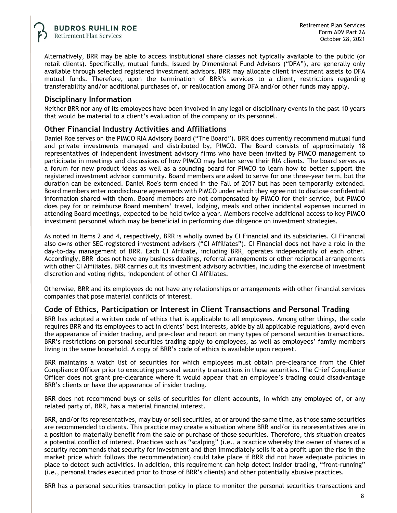Alternatively, BRR may be able to access institutional share classes not typically available to the public (or retail clients). Specifically, mutual funds, issued by Dimensional Fund Advisors ("DFA"), are generally only available through selected registered investment advisors. BRR may allocate client investment assets to DFA mutual funds. Therefore, upon the termination of BRR's services to a client, restrictions regarding transferability and/or additional purchases of, or reallocation among DFA and/or other funds may apply.

### **Disciplinary Information**

Neither BRR nor any of its employees have been involved in any legal or disciplinary events in the past 10 years that would be material to a client's evaluation of the company or its personnel.

### **Other Financial Industry Activities and Affiliations**

Daniel Roe serves on the PIMCO RIA Advisory Board ("The Board"). BRR does currently recommend mutual fund and private investments managed and distributed by, PIMCO. The Board consists of approximately 18 representatives of independent investment advisory firms who have been invited by PIMCO management to participate in meetings and discussions of how PIMCO may better serve their RIA clients. The board serves as a forum for new product ideas as well as a sounding board for PIMCO to learn how to better support the registered investment advisor community. Board members are asked to serve for one three-year term, but the duration can be extended. Daniel Roe's term ended in the Fall of 2017 but has been temporarily extended. Board members enter nondisclosure agreements with PIMCO under which they agree not to disclose confidential information shared with them. Board members are not compensated by PIMCO for their service, but PIMCO does pay for or reimburse Board members' travel, lodging, meals and other incidental expenses incurred in attending Board meetings, expected to be held twice a year. Members receive additional access to key PIMCO investment personnel which may be beneficial in performing due diligence on investment strategies.

As noted in Items 2 and 4, respectively, BRR is wholly owned by CI Financial and its subsidiaries. CI Financial also owns other SEC-registered investment advisers ("CI Affiliates"). CI Financial does not have a role in the day-to-day management of BRR. Each CI Affiliate, including BRR, operates independently of each other. Accordingly, BRR does not have any business dealings, referral arrangements or other reciprocal arrangements with other CI Affiliates. BRR carries out its investment advisory activities, including the exercise of investment discretion and voting rights, independent of other CI Affiliates.

Otherwise, BRR and its employees do not have any relationships or arrangements with other financial services companies that pose material conflicts of interest.

### **Code of Ethics, Participation or Interest in Client Transactions and Personal Trading**

BRR has adopted a written code of ethics that is applicable to all employees. Among other things, the code requires BRR and its employees to act in clients' best interests, abide by all applicable regulations, avoid even the appearance of insider trading, and pre-clear and report on many types of personal securities transactions. BRR's restrictions on personal securities trading apply to employees, as well as employees' family members living in the same household. A copy of BRR's code of ethics is available upon request.

BRR maintains a watch list of securities for which employees must obtain pre-clearance from the Chief Compliance Officer prior to executing personal security transactions in those securities. The Chief Compliance Officer does not grant pre-clearance where it would appear that an employee's trading could disadvantage BRR's clients or have the appearance of insider trading.

BRR does not recommend buys or sells of securities for client accounts, in which any employee of, or any related party of, BRR, has a material financial interest.

BRR, and/or its representatives, may buy or sell securities, at or around the same time, as those same securities are recommended to clients. This practice may create a situation where BRR and/or its representatives are in a position to materially benefit from the sale or purchase of those securities. Therefore, this situation creates a potential conflict of interest. Practices such as "scalping" (i.e., a practice whereby the owner of shares of a security recommends that security for investment and then immediately sells it at a profit upon the rise in the market price which follows the recommendation) could take place if BRR did not have adequate policies in place to detect such activities. In addition, this requirement can help detect insider trading, "front-running" (i.e., personal trades executed prior to those of BRR's clients) and other potentially abusive practices.

BRR has a personal securities transaction policy in place to monitor the personal securities transactions and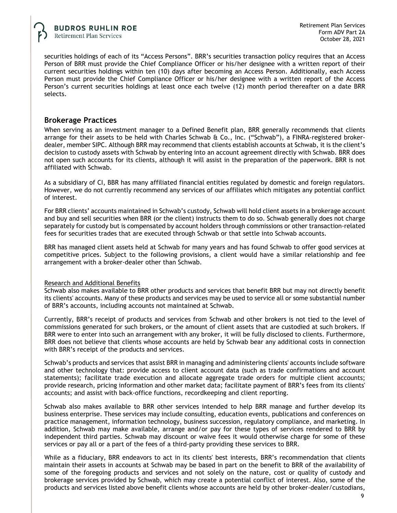securities holdings of each of its "Access Persons". BRR's securities transaction policy requires that an Access Person of BRR must provide the Chief Compliance Officer or his/her designee with a written report of their current securities holdings within ten (10) days after becoming an Access Person. Additionally, each Access Person must provide the Chief Compliance Officer or his/her designee with a written report of the Access Person's current securities holdings at least once each twelve (12) month period thereafter on a date BRR selects.

### **Brokerage Practices**

When serving as an investment manager to a Defined Benefit plan, BRR generally recommends that clients arrange for their assets to be held with Charles Schwab & Co., Inc. ("Schwab"), a FINRA-registered brokerdealer, member SIPC. Although BRR may recommend that clients establish accounts at Schwab, it is the client's decision to custody assets with Schwab by entering into an account agreement directly with Schwab. BRR does not open such accounts for its clients, although it will assist in the preparation of the paperwork. BRR is not affiliated with Schwab.

As a subsidiary of CI, BBR has many affiliated financial entities regulated by domestic and foreign regulators. However, we do not currently recommend any services of our affiliates which mitigates any potential conflict of interest.

For BRR clients' accounts maintained in Schwab's custody, Schwab will hold client assets in a brokerage account and buy and sell securities when BRR (or the client) instructs them to do so. Schwab generally does not charge separately for custody but is compensated by account holders through commissions or other transaction-related fees for securities trades that are executed through Schwab or that settle into Schwab accounts.

BRR has managed client assets held at Schwab for many years and has found Schwab to offer good services at competitive prices. Subject to the following provisions, a client would have a similar relationship and fee arrangement with a broker-dealer other than Schwab.

#### Research and Additional Benefits

Schwab also makes available to BRR other products and services that benefit BRR but may not directly benefit its clients' accounts. Many of these products and services may be used to service all or some substantial number of BRR's accounts, including accounts not maintained at Schwab.

Currently, BRR's receipt of products and services from Schwab and other brokers is not tied to the level of commissions generated for such brokers, or the amount of client assets that are custodied at such brokers. If BRR were to enter into such an arrangement with any broker, it will be fully disclosed to clients. Furthermore, BRR does not believe that clients whose accounts are held by Schwab bear any additional costs in connection with BRR's receipt of the products and services.

Schwab's products and services that assist BRR in managing and administering clients' accounts include software and other technology that: provide access to client account data (such as trade confirmations and account statements); facilitate trade execution and allocate aggregate trade orders for multiple client accounts; provide research, pricing information and other market data; facilitate payment of BRR's fees from its clients' accounts; and assist with back-office functions, recordkeeping and client reporting.

Schwab also makes available to BRR other services intended to help BRR manage and further develop its business enterprise. These services may include consulting, education events, publications and conferences on practice management, information technology, business succession, regulatory compliance, and marketing. In addition, Schwab may make available, arrange and/or pay for these types of services rendered to BRR by independent third parties. Schwab may discount or waive fees it would otherwise charge for some of these services or pay all or a part of the fees of a third-party providing these services to BRR.

While as a fiduciary, BRR endeavors to act in its clients' best interests, BRR's recommendation that clients maintain their assets in accounts at Schwab may be based in part on the benefit to BRR of the availability of some of the foregoing products and services and not solely on the nature, cost or quality of custody and brokerage services provided by Schwab, which may create a potential conflict of interest. Also, some of the products and services listed above benefit clients whose accounts are held by other broker-dealer/custodians,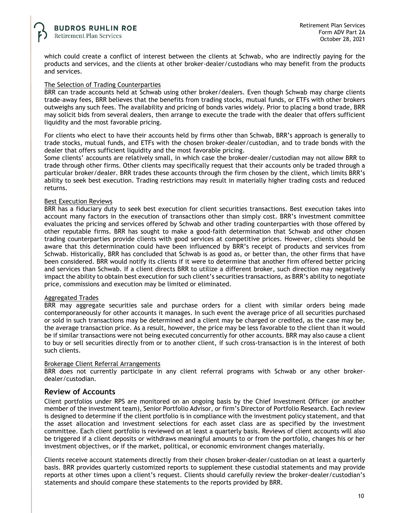which could create a conflict of interest between the clients at Schwab, who are indirectly paying for the products and services, and the clients at other broker-dealer/custodians who may benefit from the products and services.

#### The Selection of Trading Counterparties

BRR can trade accounts held at Schwab using other broker/dealers. Even though Schwab may charge clients trade-away fees, BRR believes that the benefits from trading stocks, mutual funds, or ETFs with other brokers outweighs any such fees. The availability and pricing of bonds varies widely. Prior to placing a bond trade, BRR may solicit bids from several dealers, then arrange to execute the trade with the dealer that offers sufficient liquidity and the most favorable pricing.

For clients who elect to have their accounts held by firms other than Schwab, BRR's approach is generally to trade stocks, mutual funds, and ETFs with the chosen broker-dealer/custodian, and to trade bonds with the dealer that offers sufficient liquidity and the most favorable pricing.

Some clients' accounts are relatively small, in which case the broker-dealer/custodian may not allow BRR to trade through other firms. Other clients may specifically request that their accounts only be traded through a particular broker/dealer. BRR trades these accounts through the firm chosen by the client, which limits BRR's ability to seek best execution. Trading restrictions may result in materially higher trading costs and reduced returns.

#### Best Execution Reviews

BRR has a fiduciary duty to seek best execution for client securities transactions. Best execution takes into account many factors in the execution of transactions other than simply cost. BRR's investment committee evaluates the pricing and services offered by Schwab and other trading counterparties with those offered by other reputable firms. BRR has sought to make a good-faith determination that Schwab and other chosen trading counterparties provide clients with good services at competitive prices. However, clients should be aware that this determination could have been influenced by BRR's receipt of products and services from Schwab. Historically, BRR has concluded that Schwab is as good as, or better than, the other firms that have been considered. BRR would notify its clients if it were to determine that another firm offered better pricing and services than Schwab. If a client directs BRR to utilize a different broker, such direction may negatively impact the ability to obtain best execution for such client's securities transactions, as BRR's ability to negotiate price, commissions and execution may be limited or eliminated.

#### Aggregated Trades

BRR may aggregate securities sale and purchase orders for a client with similar orders being made contemporaneously for other accounts it manages. In such event the average price of all securities purchased or sold in such transactions may be determined and a client may be charged or credited, as the case may be, the average transaction price. As a result, however, the price may be less favorable to the client than it would be if similar transactions were not being executed concurrently for other accounts. BRR may also cause a client to buy or sell securities directly from or to another client, if such cross-transaction is in the interest of both such clients.

#### Brokerage Client Referral Arrangements

BRR does not currently participate in any client referral programs with Schwab or any other brokerdealer/custodian.

### **Review of Accounts**

Client portfolios under RPS are monitored on an ongoing basis by the Chief Investment Officer (or another member of the investment team), Senior Portfolio Advisor, or firm's Director of Portfolio Research. Each review is designed to determine if the client portfolio is in compliance with the investment policy statement, and that the asset allocation and investment selections for each asset class are as specified by the investment committee. Each client portfolio is reviewed on at least a quarterly basis. Reviews of client accounts will also be triggered if a client deposits or withdraws meaningful amounts to or from the portfolio, changes his or her investment objectives, or if the market, political, or economic environment changes materially.

Clients receive account statements directly from their chosen broker-dealer/custodian on at least a quarterly basis. BRR provides quarterly customized reports to supplement these custodial statements and may provide reports at other times upon a client's request. Clients should carefully review the broker-dealer/custodian's statements and should compare these statements to the reports provided by BRR.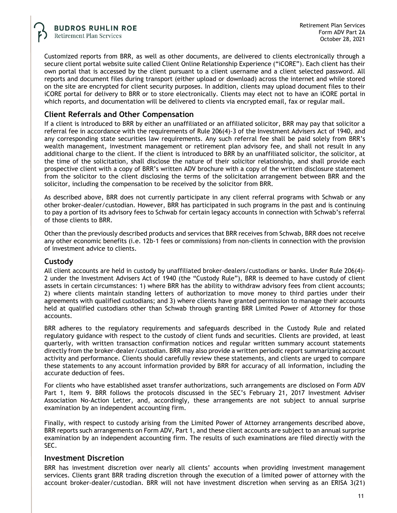Customized reports from BRR, as well as other documents, are delivered to clients electronically through a secure client portal website suite called Client Online Relationship Experience ("iCORE"). Each client has their own portal that is accessed by the client pursuant to a client username and a client selected password. All reports and document files during transport (either upload or download) across the internet and while stored on the site are encrypted for client security purposes. In addition, clients may upload document files to their iCORE portal for delivery to BRR or to store electronically. Clients may elect not to have an iCORE portal in which reports, and documentation will be delivered to clients via encrypted email, fax or regular mail.

# **Client Referrals and Other Compensation**

If a client is introduced to BRR by either an unaffiliated or an affiliated solicitor, BRR may pay that solicitor a referral fee in accordance with the requirements of Rule 206(4)-3 of the Investment Advisers Act of 1940, and any corresponding state securities law requirements. Any such referral fee shall be paid solely from BRR's wealth management, investment management or retirement plan advisory fee, and shall not result in any additional charge to the client. If the client is introduced to BRR by an unaffiliated solicitor, the solicitor, at the time of the solicitation, shall disclose the nature of their solicitor relationship, and shall provide each prospective client with a copy of BRR's written ADV brochure with a copy of the written disclosure statement from the solicitor to the client disclosing the terms of the solicitation arrangement between BRR and the solicitor, including the compensation to be received by the solicitor from BRR.

As described above, BRR does not currently participate in any client referral programs with Schwab or any other broker-dealer/custodian. However, BRR has participated in such programs in the past and is continuing to pay a portion of its advisory fees to Schwab for certain legacy accounts in connection with Schwab's referral of those clients to BRR.

Other than the previously described products and services that BRR receives from Schwab, BRR does not receive any other economic benefits (i.e. 12b-1 fees or commissions) from non-clients in connection with the provision of investment advice to clients.

# **Custody**

All client accounts are held in custody by unaffiliated broker-dealers/custodians or banks. Under Rule 206(4)- 2 under the Investment Advisers Act of 1940 (the "Custody Rule"), BRR is deemed to have custody of client assets in certain circumstances: 1) where BRR has the ability to withdraw advisory fees from client accounts; 2) where clients maintain standing letters of authorization to move money to third parties under their agreements with qualified custodians; and 3) where clients have granted permission to manage their accounts held at qualified custodians other than Schwab through granting BRR Limited Power of Attorney for those accounts.

BRR adheres to the regulatory requirements and safeguards described in the Custody Rule and related regulatory guidance with respect to the custody of client funds and securities. Clients are provided, at least quarterly, with written transaction confirmation notices and regular written summary account statements directly from the broker-dealer/custodian. BRR may also provide a written periodic report summarizing account activity and performance. Clients should carefully review these statements, and clients are urged to compare these statements to any account information provided by BRR for accuracy of all information, including the accurate deduction of fees.

For clients who have established asset transfer authorizations, such arrangements are disclosed on Form ADV Part 1, Item 9. BRR follows the protocols discussed in the SEC's February 21, 2017 Investment Adviser Association No-Action Letter, and, accordingly, these arrangements are not subject to annual surprise examination by an independent accounting firm.

Finally, with respect to custody arising from the Limited Power of Attorney arrangements described above, BRR reports such arrangements on Form ADV, Part 1, and these client accounts are subject to an annual surprise examination by an independent accounting firm. The results of such examinations are filed directly with the SEC.

### **Investment Discretion**

BRR has investment discretion over nearly all clients' accounts when providing investment management services. Clients grant BRR trading discretion through the execution of a limited power of attorney with the account broker-dealer/custodian. BRR will not have investment discretion when serving as an ERISA 3(21)